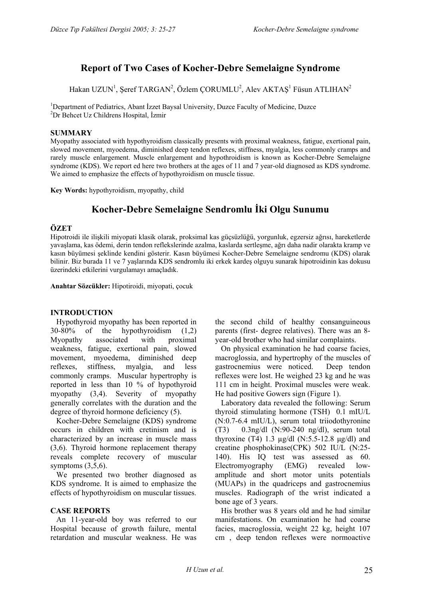# **Report of Two Cases of Kocher-Debre Semelaigne Syndrome**

Hakan UZUN<sup>1</sup>, Şeref TARGAN<sup>2</sup>, Özlem ÇORUMLU<sup>2</sup>, Alev AKTAŞ<sup>1</sup> Füsun ATLIHAN<sup>2</sup>

<sup>1</sup>Department of Pediatrics, Abant İzzet Baysal University, Duzce Faculty of Medicine, Duzce <sup>2</sup>Dr. Babast Uz Childrens Hamital, İzmir Dr Behcet Uz Childrens Hospital, İzmir

### **SUMMARY**

Myopathy associated with hypothyroidism classically presents with proximal weakness, fatigue, exertional pain, slowed movement, myoedema, diminished deep tendon reflexes, stiffness, myalgia, less commonly cramps and rarely muscle enlargement. Muscle enlargement and hypothroidism is known as Kocher-Debre Semelaigne syndrome (KDS). We report ed here two brothers at the ages of 11 and 7 year-old diagnosed as KDS syndrome. We aimed to emphasize the effects of hypothyroidism on muscle tissue.

**Key Words:** hypothyroidism, myopathy, child

# **Kocher-Debre Semelaigne Sendromlu İki Olgu Sunumu**

### **ÖZET**

Hipotroidi ile ilişkili miyopati klasik olarak, proksimal kas güçsüzlüğü, yorgunluk, egzersiz ağrısı, hareketlerde yavaşlama, kas ödemi, derin tendon reflekslerinde azalma, kaslarda sertleşme, ağrı daha nadir olarakta kramp ve kasın büyümesi şeklinde kendini gösterir. Kasın büyümesi Kocher-Debre Semelaigne sendromu (KDS) olarak bilinir. Biz burada 11 ve 7 yaşlarında KDS sendromlu iki erkek kardeş olguyu sunarak hipotroidinin kas dokusu üzerindeki etkilerini vurgulamayı amaçladık.

**Anahtar Sözcükler:** Hipotiroidi, miyopati, çocuk

# **INTRODUCTION**

Hypothyroid myopathy has been reported in 30-80% of the hypothyroidism (1,2) Myopathy associated with proximal weakness, fatigue, exertional pain, slowed movement, myoedema, diminished deep reflexes, stiffness, myalgia, and less commonly cramps. Muscular hypertrophy is reported in less than 10 % of hypothyroid myopathy (3,4). Severity of myopathy generally correlates with the duration and the degree of thyroid hormone deficiency (5).

 Kocher-Debre Semelaigne (KDS) syndrome occurs in children with cretinism and is characterized by an increase in muscle mass (3,6). Thyroid hormone replacement therapy reveals complete recovery of muscular symptoms  $(3,5,6)$ .

We presented two brother diagnosed as KDS syndrome. It is aimed to emphasize the effects of hypothyroidism on muscular tissues.

# **CASE REPORTS**

An 11-year-old boy was referred to our Hospital because of growth failure, mental retardation and muscular weakness. He was the second child of healthy consanguineous parents (first- degree relatives). There was an 8 year-old brother who had similar complaints.

On physical examination he had coarse facies, macroglossia, and hypertrophy of the muscles of gastrocnemius were noticed. Deep tendon reflexes were lost. He weighed 23 kg and he was 111 cm in height. Proximal muscles were weak. He had positive Gowers sign (Figure 1).

Laboratory data revealed the following: Serum thyroid stimulating hormone (TSH) 0.1 mIU/L (N:0.7-6.4 mIU/L), serum total triiodothyronine (T3) 0.3ng/dl (N:90-240 ng/dl), serum total thyroxine  $(T4)$  1.3  $\mu$ g/dl  $(N:5.5-12.8 \mu$ g/dl) and creatine phosphokinase(CPK) 502 IU/L (N:25- 140). His IQ test was assessed as 60. Electromyography (EMG) revealed lowamplitude and short motor units potentials (MUAPs) in the quadriceps and gastrocnemius muscles. Radiograph of the wrist indicated a bone age of 3 years.

His brother was 8 years old and he had similar manifestations. On examination he had coarse facies, macroglossia, weight 22 kg, height 107 cm , deep tendon reflexes were normoactive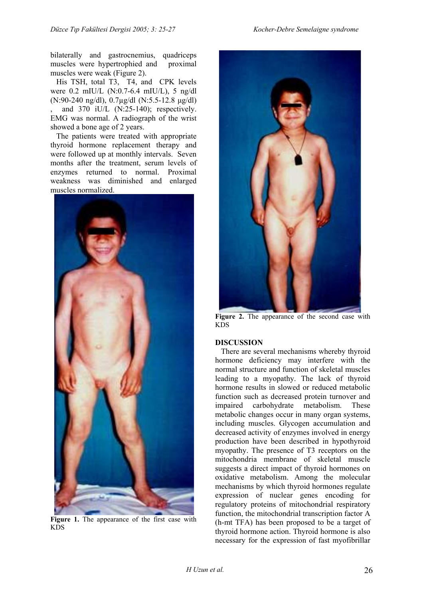bilaterally and gastrocnemius, quadriceps muscles were hypertrophied and proximal muscles were weak (Figure 2).

His TSH, total T3, T4, and CPK levels were 0.2 mIU/L (N:0.7-6.4 mIU/L), 5 ng/dl (N:90-240 ng/dl), 0.7µg/dl (N:5.5-12.8 µg/dl) and  $370$  iU/L (N:25-140); respectively. EMG was normal. A radiograph of the wrist showed a bone age of 2 years.

The patients were treated with appropriate thyroid hormone replacement therapy and were followed up at monthly intervals. Seven months after the treatment, serum levels of enzymes returned to normal. Proximal weakness was diminished and enlarged muscles normalized.



**Figure 1.** The appearance of the first case with KDS



**Figure 2.** The appearance of the second case with **KDS** 

### **DISCUSSION**

There are several mechanisms whereby thyroid hormone deficiency may interfere with the normal structure and function of skeletal muscles leading to a myopathy. The lack of thyroid hormone results in slowed or reduced metabolic function such as decreased protein turnover and impaired carbohydrate metabolism. These metabolic changes occur in many organ systems, including muscles. Glycogen accumulation and decreased activity of enzymes involved in energy production have been described in hypothyroid myopathy. The presence of T3 receptors on the mitochondria membrane of skeletal muscle suggests a direct impact of thyroid hormones on oxidative metabolism. Among the molecular mechanisms by which thyroid hormones regulate expression of nuclear genes encoding for regulatory proteins of mitochondrial respiratory function, the mitochondrial transcription factor A (h-mt TFA) has been proposed to be a target of thyroid hormone action. Thyroid hormone is also necessary for the expression of fast myofibrillar